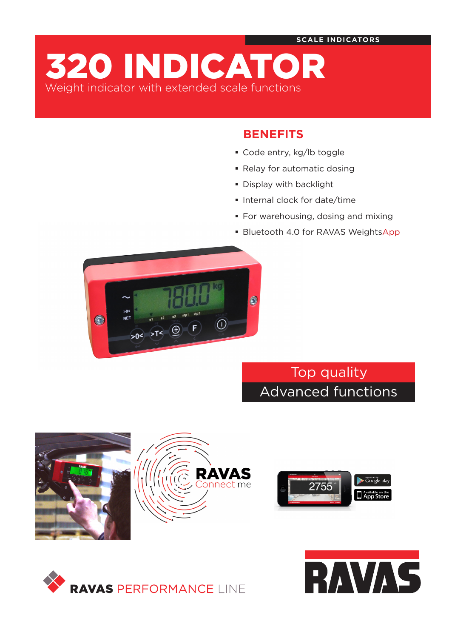**SCALE INDICATORS**

320 INDICATOR Weight indicator with extended scale functions

# **BENEFITS**

- Code entry, kg/lb toggle
- Relay for automatic dosing
- Display with backlight
- **Internal clock for date/time**
- **For warehousing, dosing and mixing**
- **Bluetooth 4.0 for RAVAS WeightsApp**



Top quality Advanced functions